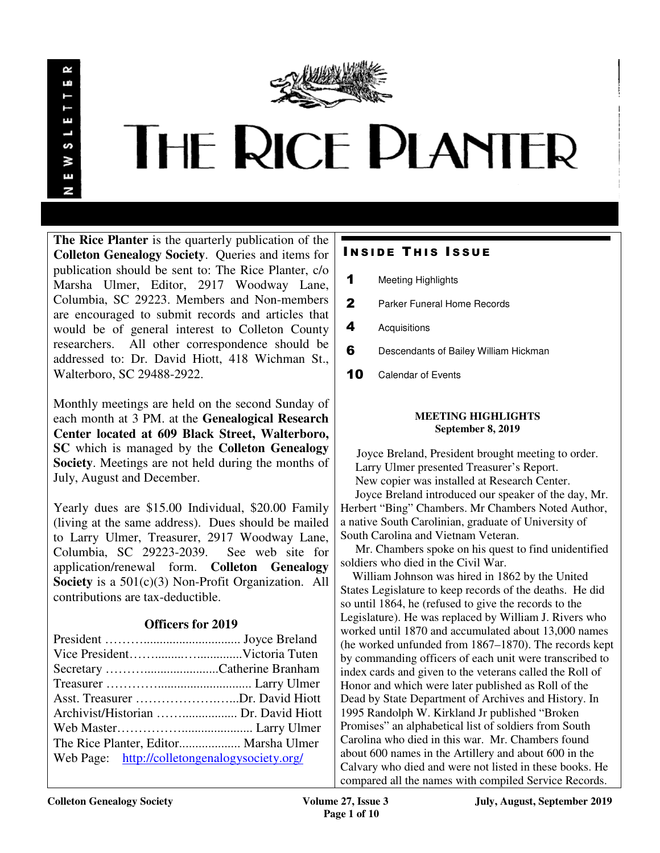

# **THE RICE PLANTER**

**The Rice Planter** is the quarterly publication of the **Colleton Genealogy Society**. Queries and items for publication should be sent to: The Rice Planter, c/o Marsha Ulmer, Editor, 2917 Woodway Lane, Columbia, SC 29223. Members and Non-members are encouraged to submit records and articles that would be of general interest to Colleton County researchers. All other correspondence should be addressed to: Dr. David Hiott, 418 Wichman St., Walterboro, SC 29488-2922.

Monthly meetings are held on the second Sunday of each month at 3 PM. at the **Genealogical Research Center located at 609 Black Street, Walterboro, SC** which is managed by the **Colleton Genealogy Society**. Meetings are not held during the months of July, August and December.

Yearly dues are \$15.00 Individual, \$20.00 Family (living at the same address). Dues should be mailed to Larry Ulmer, Treasurer, 2917 Woodway Lane, Columbia, SC 29223-2039. See web site for application/renewal form. **Colleton Genealogy Society** is a 501(c)(3) Non-Profit Organization. All contributions are tax-deductible.

# **Officers for 2019**

| Asst. Treasurer Dr. David Hiott               |
|-----------------------------------------------|
|                                               |
|                                               |
| The Rice Planter, Editor Marsha Ulmer         |
| Web Page: http://colletongenalogysociety.org/ |
|                                               |

# **INSIDE THIS ISSUE**

- 1 Meeting Highlights
- 2 Parker Funeral Home Records
- 4 Acquisitions
- 6 Descendants of Bailey William Hickman
- 10 Calendar of Events

#### **MEETING HIGHLIGHTS September 8, 2019**

 Joyce Breland, President brought meeting to order. Larry Ulmer presented Treasurer's Report. New copier was installed at Research Center.

 Joyce Breland introduced our speaker of the day, Mr. Herbert "Bing" Chambers. Mr Chambers Noted Author, a native South Carolinian, graduate of University of South Carolina and Vietnam Veteran.

 Mr. Chambers spoke on his quest to find unidentified soldiers who died in the Civil War.

 William Johnson was hired in 1862 by the United States Legislature to keep records of the deaths. He did so until 1864, he (refused to give the records to the Legislature). He was replaced by William J. Rivers who worked until 1870 and accumulated about 13,000 names (he worked unfunded from 1867–1870). The records kept by commanding officers of each unit were transcribed to index cards and given to the veterans called the Roll of Honor and which were later published as Roll of the Dead by State Department of Archives and History. In 1995 Randolph W. Kirkland Jr published "Broken Promises" an alphabetical list of soldiers from South Carolina who died in this war. Mr. Chambers found about 600 names in the Artillery and about 600 in the Calvary who died and were not listed in these books. He compared all the names with compiled Service Records.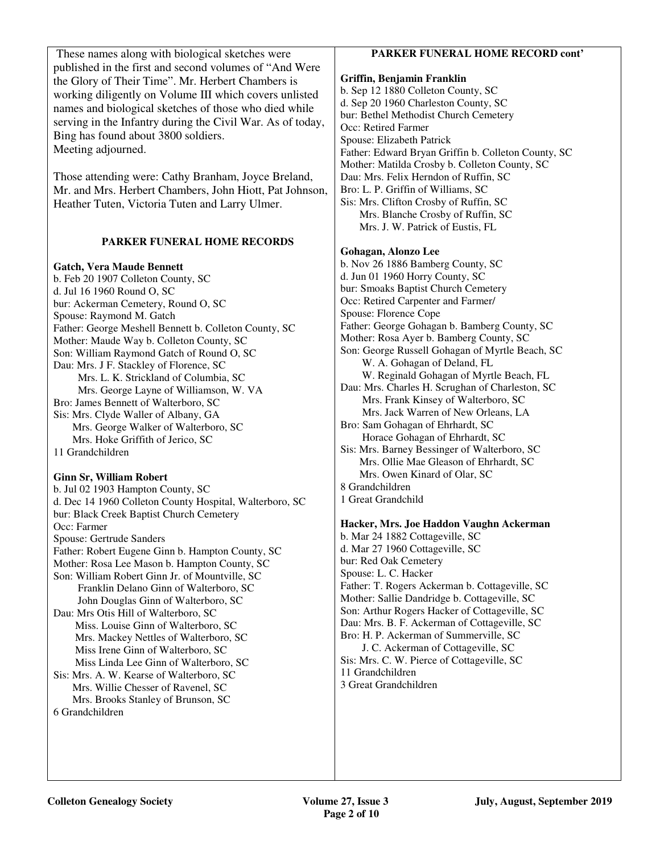These names along with biological sketches were published in the first and second volumes of "And Were the Glory of Their Time". Mr. Herbert Chambers is working diligently on Volume III which covers unlisted names and biological sketches of those who died while serving in the Infantry during the Civil War. As of today, Bing has found about 3800 soldiers. Meeting adjourned.

Those attending were: Cathy Branham, Joyce Breland, Mr. and Mrs. Herbert Chambers, John Hiott, Pat Johnson, Heather Tuten, Victoria Tuten and Larry Ulmer.

#### **PARKER FUNERAL HOME RECORDS**

#### **Gatch, Vera Maude Bennett**

b. Feb 20 1907 Colleton County, SC d. Jul 16 1960 Round O, SC bur: Ackerman Cemetery, Round O, SC Spouse: Raymond M. Gatch Father: George Meshell Bennett b. Colleton County, SC Mother: Maude Way b. Colleton County, SC Son: William Raymond Gatch of Round O, SC Dau: Mrs. J F. Stackley of Florence, SC Mrs. L. K. Strickland of Columbia, SC Mrs. George Layne of Williamson, W. VA Bro: James Bennett of Walterboro, SC Sis: Mrs. Clyde Waller of Albany, GA Mrs. George Walker of Walterboro, SC Mrs. Hoke Griffith of Jerico, SC 11 Grandchildren

#### **Ginn Sr, William Robert**

b. Jul 02 1903 Hampton County, SC d. Dec 14 1960 Colleton County Hospital, Walterboro, SC bur: Black Creek Baptist Church Cemetery Occ: Farmer Spouse: Gertrude Sanders Father: Robert Eugene Ginn b. Hampton County, SC Mother: Rosa Lee Mason b. Hampton County, SC Son: William Robert Ginn Jr. of Mountville, SC Franklin Delano Ginn of Walterboro, SC John Douglas Ginn of Walterboro, SC Dau: Mrs Otis Hill of Walterboro, SC Miss. Louise Ginn of Walterboro, SC Mrs. Mackey Nettles of Walterboro, SC Miss Irene Ginn of Walterboro, SC Miss Linda Lee Ginn of Walterboro, SC Sis: Mrs. A. W. Kearse of Walterboro, SC Mrs. Willie Chesser of Ravenel, SC Mrs. Brooks Stanley of Brunson, SC 6 Grandchildren

#### **PARKER FUNERAL HOME RECORD cont'**

**Griffin, Benjamin Franklin**  b. Sep 12 1880 Colleton County, SC d. Sep 20 1960 Charleston County, SC bur: Bethel Methodist Church Cemetery Occ: Retired Farmer Spouse: Elizabeth Patrick Father: Edward Bryan Griffin b. Colleton County, SC Mother: Matilda Crosby b. Colleton County, SC Dau: Mrs. Felix Herndon of Ruffin, SC Bro: L. P. Griffin of Williams, SC Sis: Mrs. Clifton Crosby of Ruffin, SC Mrs. Blanche Crosby of Ruffin, SC Mrs. J. W. Patrick of Eustis, FL

#### **Gohagan, Alonzo Lee**

b. Nov 26 1886 Bamberg County, SC d. Jun 01 1960 Horry County, SC bur: Smoaks Baptist Church Cemetery Occ: Retired Carpenter and Farmer/ Spouse: Florence Cope Father: George Gohagan b. Bamberg County, SC Mother: Rosa Ayer b. Bamberg County, SC Son: George Russell Gohagan of Myrtle Beach, SC W. A. Gohagan of Deland, FL W. Reginald Gohagan of Myrtle Beach, FL Dau: Mrs. Charles H. Scrughan of Charleston, SC Mrs. Frank Kinsey of Walterboro, SC Mrs. Jack Warren of New Orleans, LA Bro: Sam Gohagan of Ehrhardt, SC Horace Gohagan of Ehrhardt, SC Sis: Mrs. Barney Bessinger of Walterboro, SC Mrs. Ollie Mae Gleason of Ehrhardt, SC Mrs. Owen Kinard of Olar, SC 8 Grandchildren 1 Great Grandchild

#### **Hacker, Mrs. Joe Haddon Vaughn Ackerman**

b. Mar 24 1882 Cottageville, SC d. Mar 27 1960 Cottageville, SC bur: Red Oak Cemetery Spouse: L. C. Hacker Father: T. Rogers Ackerman b. Cottageville, SC Mother: Sallie Dandridge b. Cottageville, SC Son: Arthur Rogers Hacker of Cottageville, SC Dau: Mrs. B. F. Ackerman of Cottageville, SC Bro: H. P. Ackerman of Summerville, SC J. C. Ackerman of Cottageville, SC Sis: Mrs. C. W. Pierce of Cottageville, SC 11 Grandchildren 3 Great Grandchildren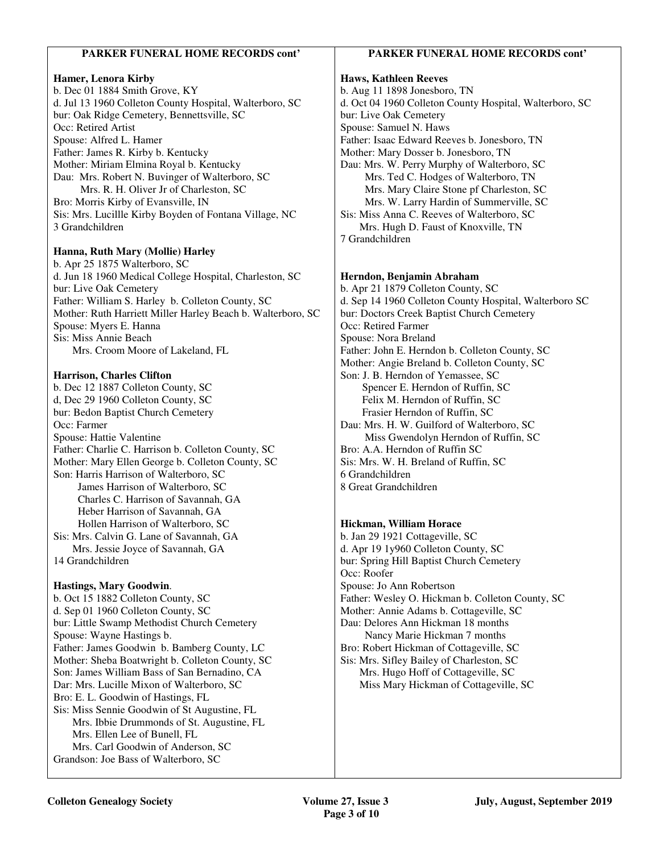### **PARKER FUNERAL HOME RECORDS cont'**

#### **Hamer, Lenora Kirby**

b. Dec 01 1884 Smith Grove, KY d. Jul 13 1960 Colleton County Hospital, Walterboro, SC bur: Oak Ridge Cemetery, Bennettsville, SC Occ: Retired Artist Spouse: Alfred L. Hamer Father: James R. Kirby b. Kentucky Mother: Miriam Elmina Royal b. Kentucky Dau: Mrs. Robert N. Buvinger of Walterboro, SC Mrs. R. H. Oliver Jr of Charleston, SC Bro: Morris Kirby of Evansville, IN Sis: Mrs. Lucillle Kirby Boyden of Fontana Village, NC 3 Grandchildren

#### **Hanna, Ruth Mary (Mollie) Harley**

b. Apr 25 1875 Walterboro, SC d. Jun 18 1960 Medical College Hospital, Charleston, SC bur: Live Oak Cemetery Father: William S. Harley b. Colleton County, SC Mother: Ruth Harriett Miller Harley Beach b. Walterboro, SC Spouse: Myers E. Hanna Sis: Miss Annie Beach Mrs. Croom Moore of Lakeland, FL

#### **Harrison, Charles Clifton**

b. Dec 12 1887 Colleton County, SC d, Dec 29 1960 Colleton County, SC bur: Bedon Baptist Church Cemetery Occ: Farmer Spouse: Hattie Valentine Father: Charlie C. Harrison b. Colleton County, SC Mother: Mary Ellen George b. Colleton County, SC Son: Harris Harrison of Walterboro, SC James Harrison of Walterboro, SC Charles C. Harrison of Savannah, GA Heber Harrison of Savannah, GA Hollen Harrison of Walterboro, SC Sis: Mrs. Calvin G. Lane of Savannah, GA Mrs. Jessie Joyce of Savannah, GA 14 Grandchildren

#### **Hastings, Mary Goodwin**.

b. Oct 15 1882 Colleton County, SC d. Sep 01 1960 Colleton County, SC bur: Little Swamp Methodist Church Cemetery Spouse: Wayne Hastings b. Father: James Goodwin b. Bamberg County, LC Mother: Sheba Boatwright b. Colleton County, SC Son: James William Bass of San Bernadino, CA Dar: Mrs. Lucille Mixon of Walterboro, SC Bro: E. L. Goodwin of Hastings, FL Sis: Miss Sennie Goodwin of St Augustine, FL Mrs. Ibbie Drummonds of St. Augustine, FL Mrs. Ellen Lee of Bunell, FL Mrs. Carl Goodwin of Anderson, SC Grandson: Joe Bass of Walterboro, SC

#### **PARKER FUNERAL HOME RECORDS cont'**

**Haws, Kathleen Reeves**  b. Aug 11 1898 Jonesboro, TN d. Oct 04 1960 Colleton County Hospital, Walterboro, SC bur: Live Oak Cemetery Spouse: Samuel N. Haws Father: Isaac Edward Reeves b. Jonesboro, TN Mother: Mary Dosser b. Jonesboro, TN Dau: Mrs. W. Perry Murphy of Walterboro, SC Mrs. Ted C. Hodges of Walterboro, TN Mrs. Mary Claire Stone pf Charleston, SC Mrs. W. Larry Hardin of Summerville, SC Sis: Miss Anna C. Reeves of Walterboro, SC Mrs. Hugh D. Faust of Knoxville, TN 7 Grandchildren **Herndon, Benjamin Abraham**  b. Apr 21 1879 Colleton County, SC d. Sep 14 1960 Colleton County Hospital, Walterboro SC

bur: Doctors Creek Baptist Church Cemetery Occ: Retired Farmer Spouse: Nora Breland Father: John E. Herndon b. Colleton County, SC Mother: Angie Breland b. Colleton County, SC Son: J. B. Herndon of Yemassee, SC Spencer E. Herndon of Ruffin, SC Felix M. Herndon of Ruffin, SC Frasier Herndon of Ruffin, SC Dau: Mrs. H. W. Guilford of Walterboro, SC Miss Gwendolyn Herndon of Ruffin, SC Bro: A.A. Herndon of Ruffin SC Sis: Mrs. W. H. Breland of Ruffin, SC 6 Grandchildren 8 Great Grandchildren

#### **Hickman, William Horace**

b. Jan 29 1921 Cottageville, SC d. Apr 19 1y960 Colleton County, SC bur: Spring Hill Baptist Church Cemetery Occ: Roofer Spouse: Jo Ann Robertson Father: Wesley O. Hickman b. Colleton County, SC Mother: Annie Adams b. Cottageville, SC Dau: Delores Ann Hickman 18 months Nancy Marie Hickman 7 months Bro: Robert Hickman of Cottageville, SC Sis: Mrs. Sifley Bailey of Charleston, SC Mrs. Hugo Hoff of Cottageville, SC Miss Mary Hickman of Cottageville, SC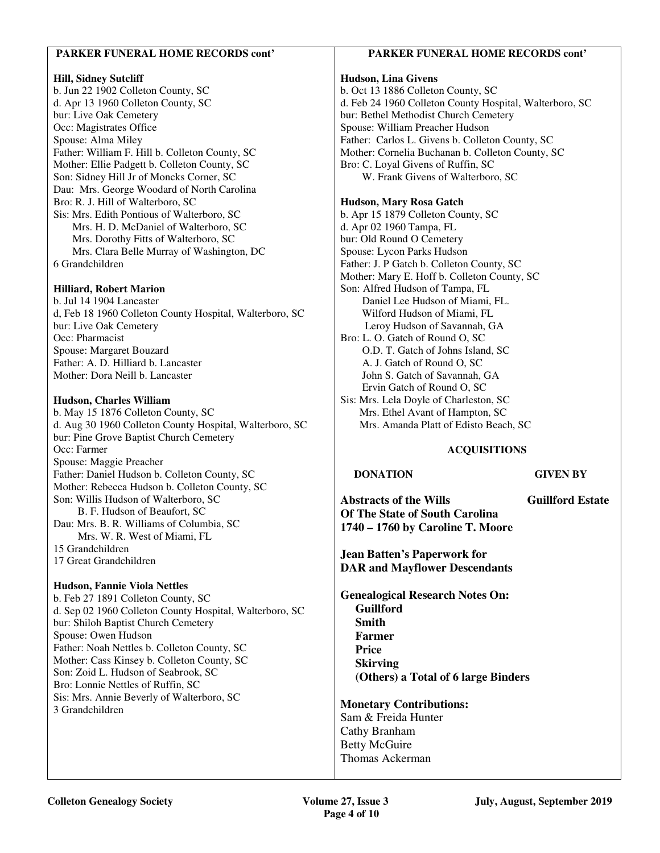#### **PARKER FUNERAL HOME RECORDS cont'**

#### **Hill, Sidney Sutcliff**

b. Jun 22 1902 Colleton County, SC d. Apr 13 1960 Colleton County, SC bur: Live Oak Cemetery Occ: Magistrates Office Spouse: Alma Miley Father: William F. Hill b. Colleton County, SC Mother: Ellie Padgett b. Colleton County, SC Son: Sidney Hill Jr of Moncks Corner, SC Dau: Mrs. George Woodard of North Carolina Bro: R. J. Hill of Walterboro, SC Sis: Mrs. Edith Pontious of Walterboro, SC Mrs. H. D. McDaniel of Walterboro, SC Mrs. Dorothy Fitts of Walterboro, SC Mrs. Clara Belle Murray of Washington, DC 6 Grandchildren

#### **Hilliard, Robert Marion**

b. Jul 14 1904 Lancaster d, Feb 18 1960 Colleton County Hospital, Walterboro, SC bur: Live Oak Cemetery Occ: Pharmacist Spouse: Margaret Bouzard Father: A. D. Hilliard b. Lancaster Mother: Dora Neill b. Lancaster

#### **Hudson, Charles William**

b. May 15 1876 Colleton County, SC d. Aug 30 1960 Colleton County Hospital, Walterboro, SC bur: Pine Grove Baptist Church Cemetery Occ: Farmer Spouse: Maggie Preacher Father: Daniel Hudson b. Colleton County, SC Mother: Rebecca Hudson b. Colleton County, SC Son: Willis Hudson of Walterboro, SC B. F. Hudson of Beaufort, SC Dau: Mrs. B. R. Williams of Columbia, SC Mrs. W. R. West of Miami, FL 15 Grandchildren 17 Great Grandchildren

#### **Hudson, Fannie Viola Nettles**

b. Feb 27 1891 Colleton County, SC d. Sep 02 1960 Colleton County Hospital, Walterboro, SC bur: Shiloh Baptist Church Cemetery Spouse: Owen Hudson Father: Noah Nettles b. Colleton County, SC Mother: Cass Kinsey b. Colleton County, SC Son: Zoid L. Hudson of Seabrook, SC Bro: Lonnie Nettles of Ruffin, SC Sis: Mrs. Annie Beverly of Walterboro, SC 3 Grandchildren

## **PARKER FUNERAL HOME RECORDS cont'**

#### **Hudson, Lina Givens**

b. Oct 13 1886 Colleton County, SC d. Feb 24 1960 Colleton County Hospital, Walterboro, SC bur: Bethel Methodist Church Cemetery Spouse: William Preacher Hudson Father: Carlos L. Givens b. Colleton County, SC Mother: Cornelia Buchanan b. Colleton County, SC Bro: C. Loyal Givens of Ruffin, SC W. Frank Givens of Walterboro, SC

#### **Hudson, Mary Rosa Gatch**

b. Apr 15 1879 Colleton County, SC d. Apr 02 1960 Tampa, FL bur: Old Round O Cemetery Spouse: Lycon Parks Hudson Father: J. P Gatch b. Colleton County, SC Mother: Mary E. Hoff b. Colleton County, SC Son: Alfred Hudson of Tampa, FL Daniel Lee Hudson of Miami, FL. Wilford Hudson of Miami, FL Leroy Hudson of Savannah, GA Bro: L. O. Gatch of Round O, SC O.D. T. Gatch of Johns Island, SC A. J. Gatch of Round O, SC John S. Gatch of Savannah, GA Ervin Gatch of Round O, SC Sis: Mrs. Lela Doyle of Charleston, SC Mrs. Ethel Avant of Hampton, SC Mrs. Amanda Platt of Edisto Beach, SC

#### **ACQUISITIONS**

#### **DONATION GIVEN BY**

**Abstracts of the Wills Guillford Estate Of The State of South Carolina 1740 – 1760 by Caroline T. Moore** 

**Jean Batten's Paperwork for DAR and Mayflower Descendants** 

**Genealogical Research Notes On: Guillford Smith Farmer Price Skirving (Others) a Total of 6 large Binders** 

#### **Monetary Contributions:**

Sam & Freida Hunter Cathy Branham Betty McGuire Thomas Ackerman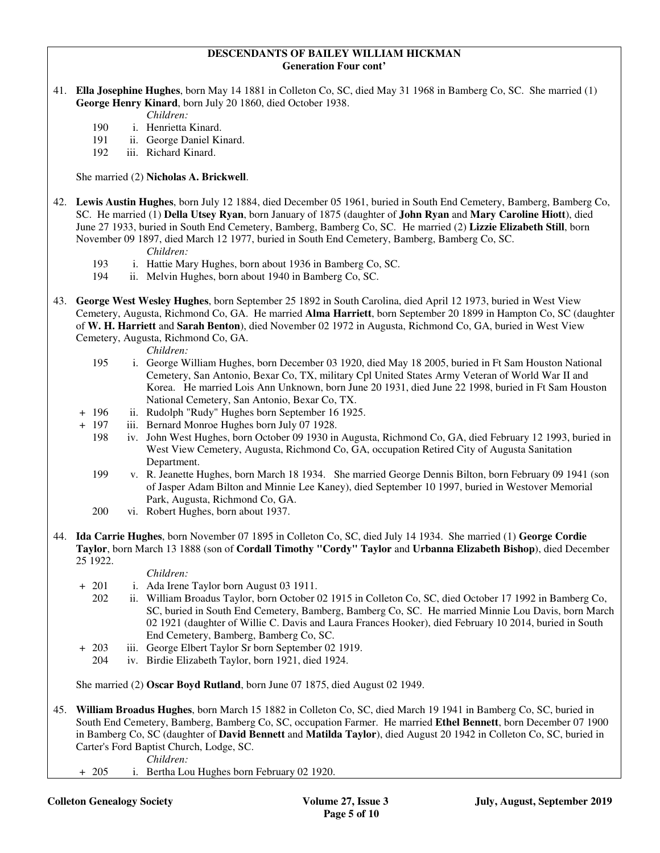#### **DESCENDANTS OF BAILEY WILLIAM HICKMAN Generation Four cont'**

41. **Ella Josephine Hughes**, born May 14 1881 in Colleton Co, SC, died May 31 1968 in Bamberg Co, SC. She married (1) **George Henry Kinard**, born July 20 1860, died October 1938.

*Children:*

- 190 i. Henrietta Kinard.
- 191 ii. George Daniel Kinard.
- 192 iii. Richard Kinard.

She married (2) **Nicholas A. Brickwell**.

- 42. **Lewis Austin Hughes**, born July 12 1884, died December 05 1961, buried in South End Cemetery, Bamberg, Bamberg Co, SC. He married (1) **Della Utsey Ryan**, born January of 1875 (daughter of **John Ryan** and **Mary Caroline Hiott**), died June 27 1933, buried in South End Cemetery, Bamberg, Bamberg Co, SC. He married (2) **Lizzie Elizabeth Still**, born November 09 1897, died March 12 1977, buried in South End Cemetery, Bamberg, Bamberg Co, SC.
	- *Children:*
	- 193 i. Hattie Mary Hughes, born about 1936 in Bamberg Co, SC.
	- 194 ii. Melvin Hughes, born about 1940 in Bamberg Co, SC.
- 43. **George West Wesley Hughes**, born September 25 1892 in South Carolina, died April 12 1973, buried in West View Cemetery, Augusta, Richmond Co, GA. He married **Alma Harriett**, born September 20 1899 in Hampton Co, SC (daughter of **W. H. Harriett** and **Sarah Benton**), died November 02 1972 in Augusta, Richmond Co, GA, buried in West View Cemetery, Augusta, Richmond Co, GA.

*Children:*

- 195 i. George William Hughes, born December 03 1920, died May 18 2005, buried in Ft Sam Houston National Cemetery, San Antonio, Bexar Co, TX, military Cpl United States Army Veteran of World War II and Korea. He married Lois Ann Unknown, born June 20 1931, died June 22 1998, buried in Ft Sam Houston National Cemetery, San Antonio, Bexar Co, TX.
- + 196 ii. Rudolph "Rudy" Hughes born September 16 1925.
- + 197 iii. Bernard Monroe Hughes born July 07 1928.
	- 198 iv. John West Hughes, born October 09 1930 in Augusta, Richmond Co, GA, died February 12 1993, buried in West View Cemetery, Augusta, Richmond Co, GA, occupation Retired City of Augusta Sanitation Department.
	- 199 v. R. Jeanette Hughes, born March 18 1934. She married George Dennis Bilton, born February 09 1941 (son of Jasper Adam Bilton and Minnie Lee Kaney), died September 10 1997, buried in Westover Memorial Park, Augusta, Richmond Co, GA.
	- 200 vi. Robert Hughes, born about 1937.
- 44. **Ida Carrie Hughes**, born November 07 1895 in Colleton Co, SC, died July 14 1934. She married (1) **George Cordie Taylor**, born March 13 1888 (son of **Cordall Timothy "Cordy" Taylor** and **Urbanna Elizabeth Bishop**), died December 25 1922.

*Children:*

- + 201 i. Ada Irene Taylor born August 03 1911.
	- 202 ii. William Broadus Taylor, born October 02 1915 in Colleton Co, SC, died October 17 1992 in Bamberg Co, SC, buried in South End Cemetery, Bamberg, Bamberg Co, SC. He married Minnie Lou Davis, born March 02 1921 (daughter of Willie C. Davis and Laura Frances Hooker), died February 10 2014, buried in South End Cemetery, Bamberg, Bamberg Co, SC.
- + 203 iii. George Elbert Taylor Sr born September 02 1919.
	- 204 iv. Birdie Elizabeth Taylor, born 1921, died 1924.

She married (2) **Oscar Boyd Rutland**, born June 07 1875, died August 02 1949.

45. **William Broadus Hughes**, born March 15 1882 in Colleton Co, SC, died March 19 1941 in Bamberg Co, SC, buried in South End Cemetery, Bamberg, Bamberg Co, SC, occupation Farmer. He married **Ethel Bennett**, born December 07 1900 in Bamberg Co, SC (daughter of **David Bennett** and **Matilda Taylor**), died August 20 1942 in Colleton Co, SC, buried in Carter's Ford Baptist Church, Lodge, SC.

*Children:*

+ 205 i. Bertha Lou Hughes born February 02 1920.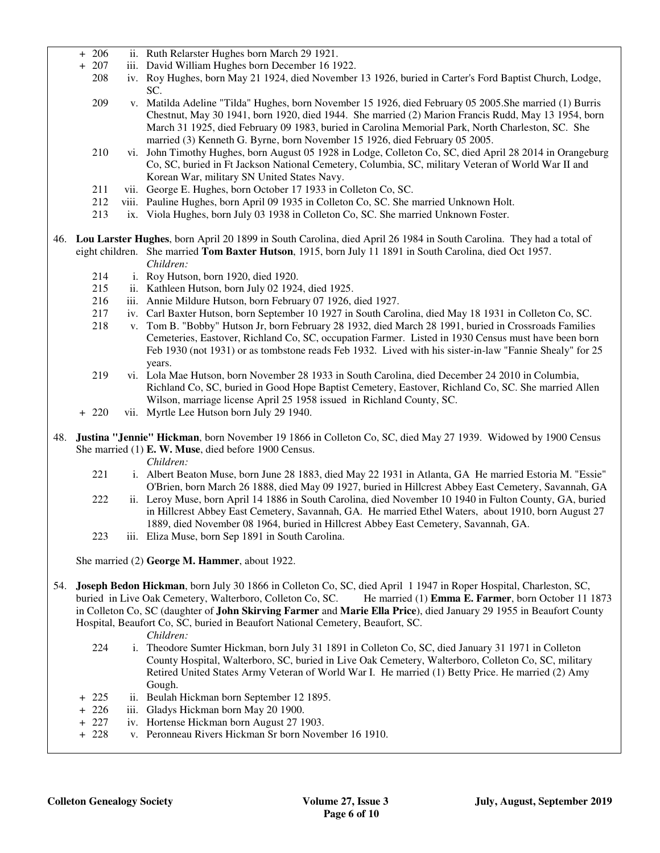- + 206 ii. Ruth Relarster Hughes born March 29 1921.
- + 207 iii. David William Hughes born December 16 1922.
	- 208 iv. Roy Hughes, born May 21 1924, died November 13 1926, buried in Carter's Ford Baptist Church, Lodge, SC.
	- 209 v. Matilda Adeline "Tilda" Hughes, born November 15 1926, died February 05 2005.She married (1) Burris Chestnut, May 30 1941, born 1920, died 1944. She married (2) Marion Francis Rudd, May 13 1954, born March 31 1925, died February 09 1983, buried in Carolina Memorial Park, North Charleston, SC. She married (3) Kenneth G. Byrne, born November 15 1926, died February 05 2005.
	- 210 vi. John Timothy Hughes, born August 05 1928 in Lodge, Colleton Co, SC, died April 28 2014 in Orangeburg Co, SC, buried in Ft Jackson National Cemetery, Columbia, SC, military Veteran of World War II and Korean War, military SN United States Navy.
	- 211 vii. George E. Hughes, born October 17 1933 in Colleton Co, SC.
	- 212 viii. Pauline Hughes, born April 09 1935 in Colleton Co, SC. She married Unknown Holt.
	- 213 ix. Viola Hughes, born July 03 1938 in Colleton Co, SC. She married Unknown Foster.
- 46. **Lou Larster Hughes**, born April 20 1899 in South Carolina, died April 26 1984 in South Carolina. They had a total of eight children. She married **Tom Baxter Hutson**, 1915, born July 11 1891 in South Carolina, died Oct 1957. *Children:*
	- 214 i. Roy Hutson, born 1920, died 1920.
	- 215 ii. Kathleen Hutson, born July 02 1924, died 1925.
	- 216 iii. Annie Mildure Hutson, born February 07 1926, died 1927.
	- 217 iv. Carl Baxter Hutson, born September 10 1927 in South Carolina, died May 18 1931 in Colleton Co, SC.
	- 218 v. Tom B. "Bobby" Hutson Jr, born February 28 1932, died March 28 1991, buried in Crossroads Families Cemeteries, Eastover, Richland Co, SC, occupation Farmer. Listed in 1930 Census must have been born Feb 1930 (not 1931) or as tombstone reads Feb 1932. Lived with his sister-in-law "Fannie Shealy" for 25 years.
	- 219 vi. Lola Mae Hutson, born November 28 1933 in South Carolina, died December 24 2010 in Columbia, Richland Co, SC, buried in Good Hope Baptist Cemetery, Eastover, Richland Co, SC. She married Allen Wilson, marriage license April 25 1958 issued in Richland County, SC.
	- + 220 vii. Myrtle Lee Hutson born July 29 1940.
- 48. **Justina "Jennie" Hickman**, born November 19 1866 in Colleton Co, SC, died May 27 1939. Widowed by 1900 Census She married (1) **E. W. Muse**, died before 1900 Census.

*Children:*

- 221 i. Albert Beaton Muse, born June 28 1883, died May 22 1931 in Atlanta, GA He married Estoria M. "Essie" O'Brien, born March 26 1888, died May 09 1927, buried in Hillcrest Abbey East Cemetery, Savannah, GA
- 222 ii. Leroy Muse, born April 14 1886 in South Carolina, died November 10 1940 in Fulton County, GA, buried in Hillcrest Abbey East Cemetery, Savannah, GA. He married Ethel Waters, about 1910, born August 27 1889, died November 08 1964, buried in Hillcrest Abbey East Cemetery, Savannah, GA.
- 223 iii. Eliza Muse, born Sep 1891 in South Carolina.

She married (2) **George M. Hammer**, about 1922.

54. **Joseph Bedon Hickman**, born July 30 1866 in Colleton Co, SC, died April 1 1947 in Roper Hospital, Charleston, SC, buried in Live Oak Cemetery, Walterboro, Colleton Co, SC. He married (1) **Emma E. Farmer**, born October 11 1873 in Colleton Co, SC (daughter of **John Skirving Farmer** and **Marie Ella Price**), died January 29 1955 in Beaufort County Hospital, Beaufort Co, SC, buried in Beaufort National Cemetery, Beaufort, SC.

#### *Children:*

- 224 i. Theodore Sumter Hickman, born July 31 1891 in Colleton Co, SC, died January 31 1971 in Colleton County Hospital, Walterboro, SC, buried in Live Oak Cemetery, Walterboro, Colleton Co, SC, military Retired United States Army Veteran of World War I. He married (1) Betty Price. He married (2) Amy Gough.
- + 225 ii. Beulah Hickman born September 12 1895.
- + 226 iii. Gladys Hickman born May 20 1900.
- + 227 iv. Hortense Hickman born August 27 1903.
- + 228 v. Peronneau Rivers Hickman Sr born November 16 1910.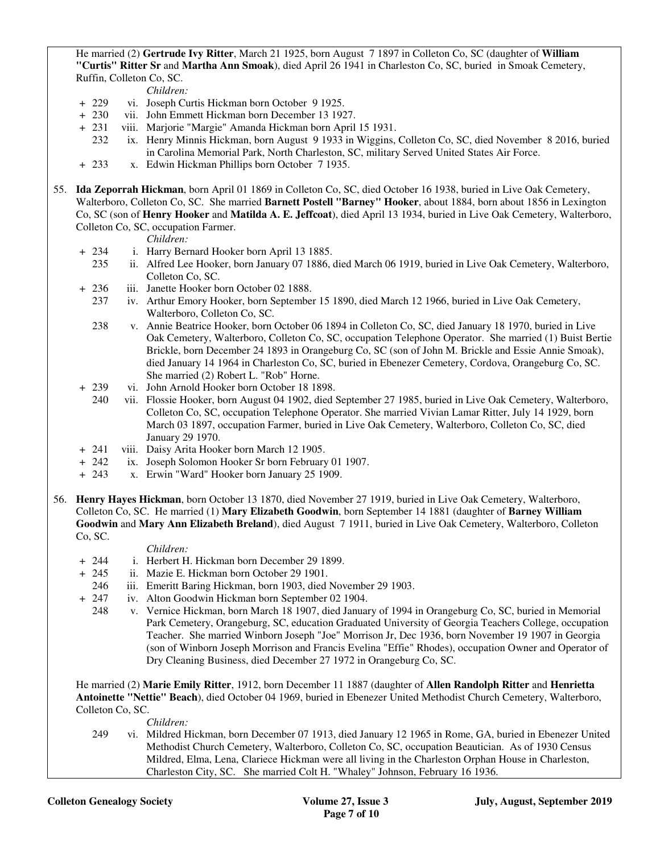He married (2) **Gertrude Ivy Ritter**, March 21 1925, born August 7 1897 in Colleton Co, SC (daughter of **William "Curtis" Ritter Sr** and **Martha Ann Smoak**), died April 26 1941 in Charleston Co, SC, buried in Smoak Cemetery, Ruffin, Colleton Co, SC.

*Children:*

- + 229 vi. Joseph Curtis Hickman born October 9 1925.
- + 230 vii. John Emmett Hickman born December 13 1927.
- + 231 viii. Marjorie "Margie" Amanda Hickman born April 15 1931.
	- 232 ix. Henry Minnis Hickman, born August 9 1933 in Wiggins, Colleton Co, SC, died November 8 2016, buried in Carolina Memorial Park, North Charleston, SC, military Served United States Air Force.
- + 233 x. Edwin Hickman Phillips born October 7 1935.
- 55. **Ida Zeporrah Hickman**, born April 01 1869 in Colleton Co, SC, died October 16 1938, buried in Live Oak Cemetery, Walterboro, Colleton Co, SC. She married **Barnett Postell "Barney" Hooker**, about 1884, born about 1856 in Lexington Co, SC (son of **Henry Hooker** and **Matilda A. E. Jeffcoat**), died April 13 1934, buried in Live Oak Cemetery, Walterboro, Colleton Co, SC, occupation Farmer.

*Children:*

- + 234 i. Harry Bernard Hooker born April 13 1885.
	- 235 ii. Alfred Lee Hooker, born January 07 1886, died March 06 1919, buried in Live Oak Cemetery, Walterboro, Colleton Co, SC.
- + 236 iii. Janette Hooker born October 02 1888.
	- 237 iv. Arthur Emory Hooker, born September 15 1890, died March 12 1966, buried in Live Oak Cemetery, Walterboro, Colleton Co, SC.
	- 238 v. Annie Beatrice Hooker, born October 06 1894 in Colleton Co, SC, died January 18 1970, buried in Live Oak Cemetery, Walterboro, Colleton Co, SC, occupation Telephone Operator. She married (1) Buist Bertie Brickle, born December 24 1893 in Orangeburg Co, SC (son of John M. Brickle and Essie Annie Smoak), died January 14 1964 in Charleston Co, SC, buried in Ebenezer Cemetery, Cordova, Orangeburg Co, SC. She married (2) Robert L. "Rob" Horne.
- + 239 vi. John Arnold Hooker born October 18 1898.
	- 240 vii. Flossie Hooker, born August 04 1902, died September 27 1985, buried in Live Oak Cemetery, Walterboro, Colleton Co, SC, occupation Telephone Operator. She married Vivian Lamar Ritter, July 14 1929, born March 03 1897, occupation Farmer, buried in Live Oak Cemetery, Walterboro, Colleton Co, SC, died January 29 1970.
- + 241 viii. Daisy Arita Hooker born March 12 1905.
- ix. Joseph Solomon Hooker Sr born February 01 1907.
- + 243 x. Erwin "Ward" Hooker born January 25 1909.
- 56. **Henry Hayes Hickman**, born October 13 1870, died November 27 1919, buried in Live Oak Cemetery, Walterboro, Colleton Co, SC. He married (1) **Mary Elizabeth Goodwin**, born September 14 1881 (daughter of **Barney William Goodwin** and **Mary Ann Elizabeth Breland**), died August 7 1911, buried in Live Oak Cemetery, Walterboro, Colleton Co, SC.

#### *Children:*

- + 244 i. Herbert H. Hickman born December 29 1899.
- + 245 ii. Mazie E. Hickman born October 29 1901.
- 246 iii. Emeritt Baring Hickman, born 1903, died November 29 1903.
- + 247 iv. Alton Goodwin Hickman born September 02 1904.
	- 248 v. Vernice Hickman, born March 18 1907, died January of 1994 in Orangeburg Co, SC, buried in Memorial Park Cemetery, Orangeburg, SC, education Graduated University of Georgia Teachers College, occupation Teacher. She married Winborn Joseph "Joe" Morrison Jr, Dec 1936, born November 19 1907 in Georgia (son of Winborn Joseph Morrison and Francis Evelina "Effie" Rhodes), occupation Owner and Operator of Dry Cleaning Business, died December 27 1972 in Orangeburg Co, SC.

 He married (2) **Marie Emily Ritter**, 1912, born December 11 1887 (daughter of **Allen Randolph Ritter** and **Henrietta Antoinette "Nettie" Beach**), died October 04 1969, buried in Ebenezer United Methodist Church Cemetery, Walterboro, Colleton Co, SC.

*Children:*

 249 vi. Mildred Hickman, born December 07 1913, died January 12 1965 in Rome, GA, buried in Ebenezer United Methodist Church Cemetery, Walterboro, Colleton Co, SC, occupation Beautician. As of 1930 Census Mildred, Elma, Lena, Clariece Hickman were all living in the Charleston Orphan House in Charleston, Charleston City, SC. She married Colt H. "Whaley" Johnson, February 16 1936.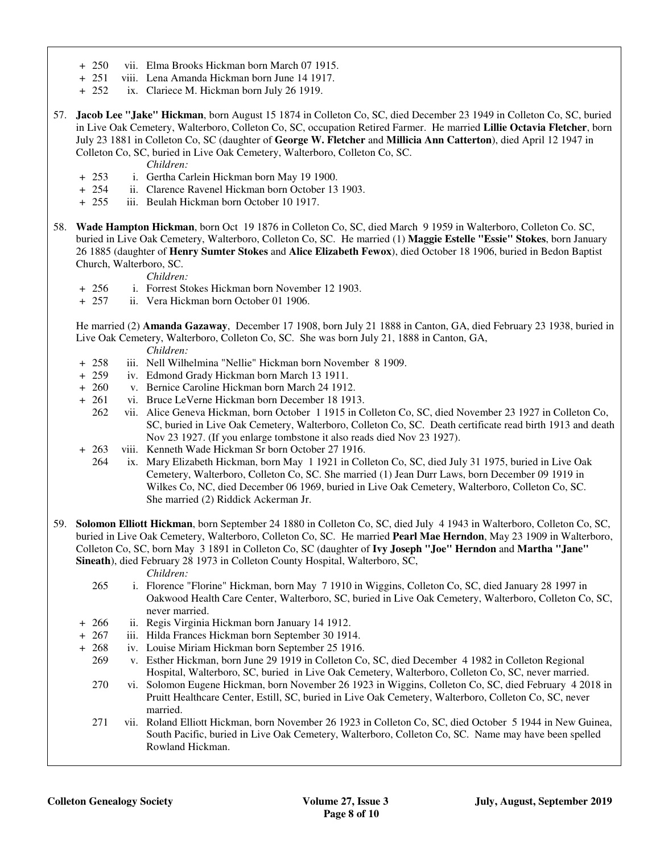- + 250 vii. Elma Brooks Hickman born March 07 1915.
- + 251 viii. Lena Amanda Hickman born June 14 1917.
- + 252 ix. Clariece M. Hickman born July 26 1919.
- 57. **Jacob Lee "Jake" Hickman**, born August 15 1874 in Colleton Co, SC, died December 23 1949 in Colleton Co, SC, buried in Live Oak Cemetery, Walterboro, Colleton Co, SC, occupation Retired Farmer. He married **Lillie Octavia Fletcher**, born July 23 1881 in Colleton Co, SC (daughter of **George W. Fletcher** and **Millicia Ann Catterton**), died April 12 1947 in Colleton Co, SC, buried in Live Oak Cemetery, Walterboro, Colleton Co, SC.

*Children:*

- + 253 i. Gertha Carlein Hickman born May 19 1900.
- + 254 ii. Clarence Ravenel Hickman born October 13 1903.
- + 255 iii. Beulah Hickman born October 10 1917.
- 58. **Wade Hampton Hickman**, born Oct 19 1876 in Colleton Co, SC, died March 9 1959 in Walterboro, Colleton Co. SC, buried in Live Oak Cemetery, Walterboro, Colleton Co, SC. He married (1) **Maggie Estelle "Essie" Stokes**, born January 26 1885 (daughter of **Henry Sumter Stokes** and **Alice Elizabeth Fewox**), died October 18 1906, buried in Bedon Baptist Church, Walterboro, SC.

*Children:*

- + 256 i. Forrest Stokes Hickman born November 12 1903.
- + 257 ii. Vera Hickman born October 01 1906.

 He married (2) **Amanda Gazaway**, December 17 1908, born July 21 1888 in Canton, GA, died February 23 1938, buried in Live Oak Cemetery, Walterboro, Colleton Co, SC. She was born July 21, 1888 in Canton, GA,

*Children:*

- + 258 iii. Nell Wilhelmina "Nellie" Hickman born November 8 1909.
- + 259 iv. Edmond Grady Hickman born March 13 1911.
- + 260 v. Bernice Caroline Hickman born March 24 1912.
- + 261 vi. Bruce LeVerne Hickman born December 18 1913.
	- 262 vii. Alice Geneva Hickman, born October 1 1915 in Colleton Co, SC, died November 23 1927 in Colleton Co, SC, buried in Live Oak Cemetery, Walterboro, Colleton Co, SC. Death certificate read birth 1913 and death Nov 23 1927. (If you enlarge tombstone it also reads died Nov 23 1927).
- + 263 viii. Kenneth Wade Hickman Sr born October 27 1916.<br>264 ix. Mary Elizabeth Hickman, born May 1 1921 in Col
	- ix. Mary Elizabeth Hickman, born May 1 1921 in Colleton Co, SC, died July 31 1975, buried in Live Oak Cemetery, Walterboro, Colleton Co, SC. She married (1) Jean Durr Laws, born December 09 1919 in Wilkes Co, NC, died December 06 1969, buried in Live Oak Cemetery, Walterboro, Colleton Co, SC. She married (2) Riddick Ackerman Jr.
- 59. **Solomon Elliott Hickman**, born September 24 1880 in Colleton Co, SC, died July 4 1943 in Walterboro, Colleton Co, SC, buried in Live Oak Cemetery, Walterboro, Colleton Co, SC. He married **Pearl Mae Herndon**, May 23 1909 in Walterboro, Colleton Co, SC, born May 3 1891 in Colleton Co, SC (daughter of **Ivy Joseph "Joe" Herndon** and **Martha "Jane" Sineath**), died February 28 1973 in Colleton County Hospital, Walterboro, SC,

*Children:*

- 265 i. Florence "Florine" Hickman, born May 7 1910 in Wiggins, Colleton Co, SC, died January 28 1997 in Oakwood Health Care Center, Walterboro, SC, buried in Live Oak Cemetery, Walterboro, Colleton Co, SC, never married.
- + 266 ii. Regis Virginia Hickman born January 14 1912.
- + 267 iii. Hilda Frances Hickman born September 30 1914.
- 268 iv. Louise Miriam Hickman born September 25 1916.
	- 269 v. Esther Hickman, born June 29 1919 in Colleton Co, SC, died December 4 1982 in Colleton Regional Hospital, Walterboro, SC, buried in Live Oak Cemetery, Walterboro, Colleton Co, SC, never married.
	- 270 vi. Solomon Eugene Hickman, born November 26 1923 in Wiggins, Colleton Co, SC, died February 4 2018 in Pruitt Healthcare Center, Estill, SC, buried in Live Oak Cemetery, Walterboro, Colleton Co, SC, never married.
	- 271 vii. Roland Elliott Hickman, born November 26 1923 in Colleton Co, SC, died October 5 1944 in New Guinea, South Pacific, buried in Live Oak Cemetery, Walterboro, Colleton Co, SC. Name may have been spelled Rowland Hickman.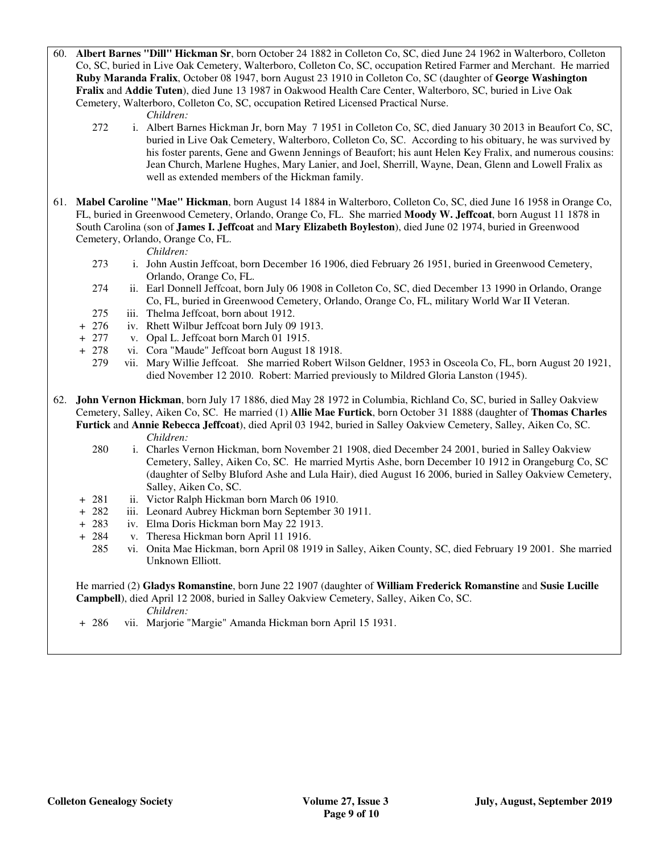60. **Albert Barnes "Dill" Hickman Sr**, born October 24 1882 in Colleton Co, SC, died June 24 1962 in Walterboro, Colleton Co, SC, buried in Live Oak Cemetery, Walterboro, Colleton Co, SC, occupation Retired Farmer and Merchant. He married **Ruby Maranda Fralix**, October 08 1947, born August 23 1910 in Colleton Co, SC (daughter of **George Washington Fralix** and **Addie Tuten**), died June 13 1987 in Oakwood Health Care Center, Walterboro, SC, buried in Live Oak Cemetery, Walterboro, Colleton Co, SC, occupation Retired Licensed Practical Nurse.

#### *Children:*

- 272 i. Albert Barnes Hickman Jr, born May 7 1951 in Colleton Co, SC, died January 30 2013 in Beaufort Co, SC, buried in Live Oak Cemetery, Walterboro, Colleton Co, SC. According to his obituary, he was survived by his foster parents, Gene and Gwenn Jennings of Beaufort; his aunt Helen Key Fralix, and numerous cousins: Jean Church, Marlene Hughes, Mary Lanier, and Joel, Sherrill, Wayne, Dean, Glenn and Lowell Fralix as well as extended members of the Hickman family.
- 61. **Mabel Caroline "Mae" Hickman**, born August 14 1884 in Walterboro, Colleton Co, SC, died June 16 1958 in Orange Co, FL, buried in Greenwood Cemetery, Orlando, Orange Co, FL. She married **Moody W. Jeffcoat**, born August 11 1878 in South Carolina (son of **James I. Jeffcoat** and **Mary Elizabeth Boyleston**), died June 02 1974, buried in Greenwood Cemetery, Orlando, Orange Co, FL.

*Children:*

- 273 i. John Austin Jeffcoat, born December 16 1906, died February 26 1951, buried in Greenwood Cemetery, Orlando, Orange Co, FL.
- 274 ii. Earl Donnell Jeffcoat, born July 06 1908 in Colleton Co, SC, died December 13 1990 in Orlando, Orange Co, FL, buried in Greenwood Cemetery, Orlando, Orange Co, FL, military World War II Veteran.
- 275 iii. Thelma Jeffcoat, born about 1912.
- + 276 iv. Rhett Wilbur Jeffcoat born July 09 1913.
- + 277 v. Opal L. Jeffcoat born March 01 1915.
- + 278 vi. Cora "Maude" Jeffcoat born August 18 1918.
	- 279 vii. Mary Willie Jeffcoat. She married Robert Wilson Geldner, 1953 in Osceola Co, FL, born August 20 1921, died November 12 2010. Robert: Married previously to Mildred Gloria Lanston (1945).
- 62. **John Vernon Hickman**, born July 17 1886, died May 28 1972 in Columbia, Richland Co, SC, buried in Salley Oakview Cemetery, Salley, Aiken Co, SC. He married (1) **Allie Mae Furtick**, born October 31 1888 (daughter of **Thomas Charles Furtick** and **Annie Rebecca Jeffcoat**), died April 03 1942, buried in Salley Oakview Cemetery, Salley, Aiken Co, SC. *Children:*
	- 280 i. Charles Vernon Hickman, born November 21 1908, died December 24 2001, buried in Salley Oakview Cemetery, Salley, Aiken Co, SC. He married Myrtis Ashe, born December 10 1912 in Orangeburg Co, SC (daughter of Selby Bluford Ashe and Lula Hair), died August 16 2006, buried in Salley Oakview Cemetery, Salley, Aiken Co, SC.
	- + 281 ii. Victor Ralph Hickman born March 06 1910.
	- + 282 iii. Leonard Aubrey Hickman born September 30 1911.
	- + 283 iv. Elma Doris Hickman born May 22 1913.
	- + 284 v. Theresa Hickman born April 11 1916.
		- 285 vi. Onita Mae Hickman, born April 08 1919 in Salley, Aiken County, SC, died February 19 2001. She married Unknown Elliott.

# He married (2) **Gladys Romanstine**, born June 22 1907 (daughter of **William Frederick Romanstine** and **Susie Lucille Campbell**), died April 12 2008, buried in Salley Oakview Cemetery, Salley, Aiken Co, SC.

*Children:*

+ 286 vii. Marjorie "Margie" Amanda Hickman born April 15 1931.